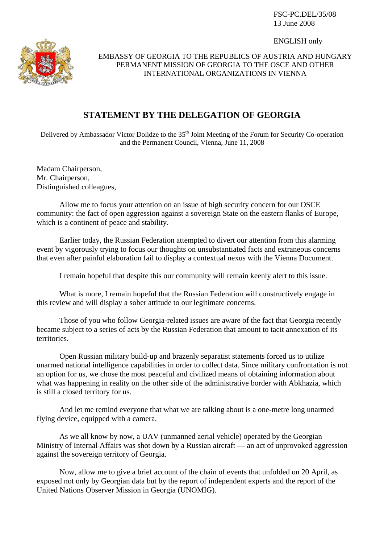FSC-PC.DEL/35/08 13 June 2008

ENGLISH only



EMBASSY OF GEORGIA TO THE REPUBLICS OF AUSTRIA AND HUNGARY PERMANENT MISSION OF GEORGIA TO THE OSCE AND OTHER INTERNATIONAL ORGANIZATIONS IN VIENNA

## **STATEMENT BY THE DELEGATION OF GEORGIA**

Delivered by Ambassador Victor Dolidze to the 35<sup>th</sup> Joint Meeting of the Forum for Security Co-operation and the Permanent Council, Vienna, June 11, 2008

Madam Chairperson, Mr. Chairperson, Distinguished colleagues,

 Allow me to focus your attention on an issue of high security concern for our OSCE community: the fact of open aggression against a sovereign State on the eastern flanks of Europe, which is a continent of peace and stability.

 Earlier today, the Russian Federation attempted to divert our attention from this alarming event by vigorously trying to focus our thoughts on unsubstantiated facts and extraneous concerns that even after painful elaboration fail to display a contextual nexus with the Vienna Document.

I remain hopeful that despite this our community will remain keenly alert to this issue.

 What is more, I remain hopeful that the Russian Federation will constructively engage in this review and will display a sober attitude to our legitimate concerns.

 Those of you who follow Georgia-related issues are aware of the fact that Georgia recently became subject to a series of acts by the Russian Federation that amount to tacit annexation of its territories.

 Open Russian military build-up and brazenly separatist statements forced us to utilize unarmed national intelligence capabilities in order to collect data. Since military confrontation is not an option for us, we chose the most peaceful and civilized means of obtaining information about what was happening in reality on the other side of the administrative border with Abkhazia, which is still a closed territory for us.

 And let me remind everyone that what we are talking about is a one-metre long unarmed flying device, equipped with a camera.

 As we all know by now, a UAV (unmanned aerial vehicle) operated by the Georgian Ministry of Internal Affairs was shot down by a Russian aircraft — an act of unprovoked aggression against the sovereign territory of Georgia.

 Now, allow me to give a brief account of the chain of events that unfolded on 20 April, as exposed not only by Georgian data but by the report of independent experts and the report of the United Nations Observer Mission in Georgia (UNOMIG).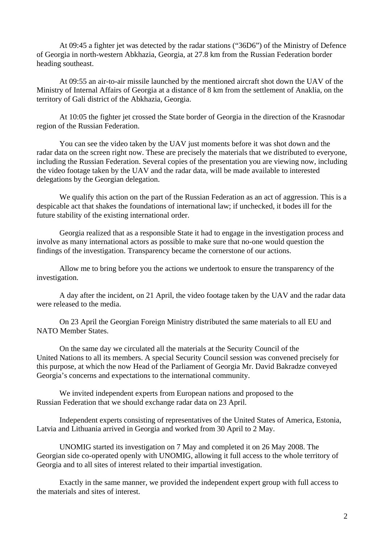At 09:45 a fighter jet was detected by the radar stations ("36D6") of the Ministry of Defence of Georgia in north-western Abkhazia, Georgia, at 27.8 km from the Russian Federation border heading southeast.

 At 09:55 an air-to-air missile launched by the mentioned aircraft shot down the UAV of the Ministry of Internal Affairs of Georgia at a distance of 8 km from the settlement of Anaklia, on the territory of Gali district of the Abkhazia, Georgia.

 At 10:05 the fighter jet crossed the State border of Georgia in the direction of the Krasnodar region of the Russian Federation.

 You can see the video taken by the UAV just moments before it was shot down and the radar data on the screen right now. These are precisely the materials that we distributed to everyone, including the Russian Federation. Several copies of the presentation you are viewing now, including the video footage taken by the UAV and the radar data, will be made available to interested delegations by the Georgian delegation.

 We qualify this action on the part of the Russian Federation as an act of aggression. This is a despicable act that shakes the foundations of international law; if unchecked, it bodes ill for the future stability of the existing international order.

 Georgia realized that as a responsible State it had to engage in the investigation process and involve as many international actors as possible to make sure that no-one would question the findings of the investigation. Transparency became the cornerstone of our actions.

 Allow me to bring before you the actions we undertook to ensure the transparency of the investigation.

 A day after the incident, on 21 April, the video footage taken by the UAV and the radar data were released to the media.

 On 23 April the Georgian Foreign Ministry distributed the same materials to all EU and NATO Member States.

 On the same day we circulated all the materials at the Security Council of the United Nations to all its members. A special Security Council session was convened precisely for this purpose, at which the now Head of the Parliament of Georgia Mr. David Bakradze conveyed Georgia's concerns and expectations to the international community.

 We invited independent experts from European nations and proposed to the Russian Federation that we should exchange radar data on 23 April.

 Independent experts consisting of representatives of the United States of America, Estonia, Latvia and Lithuania arrived in Georgia and worked from 30 April to 2 May.

 UNOMIG started its investigation on 7 May and completed it on 26 May 2008. The Georgian side co-operated openly with UNOMIG, allowing it full access to the whole territory of Georgia and to all sites of interest related to their impartial investigation.

 Exactly in the same manner, we provided the independent expert group with full access to the materials and sites of interest.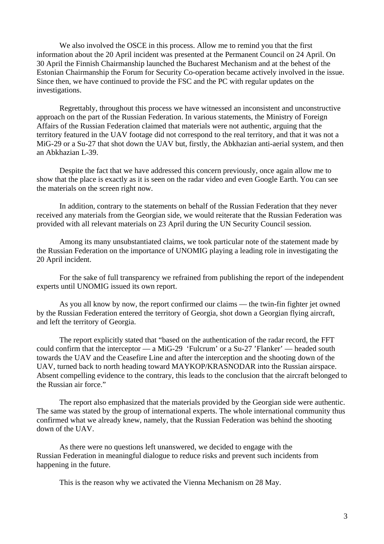We also involved the OSCE in this process. Allow me to remind you that the first information about the 20 April incident was presented at the Permanent Council on 24 April. On 30 April the Finnish Chairmanship launched the Bucharest Mechanism and at the behest of the Estonian Chairmanship the Forum for Security Co-operation became actively involved in the issue. Since then, we have continued to provide the FSC and the PC with regular updates on the investigations.

 Regrettably, throughout this process we have witnessed an inconsistent and unconstructive approach on the part of the Russian Federation. In various statements, the Ministry of Foreign Affairs of the Russian Federation claimed that materials were not authentic, arguing that the territory featured in the UAV footage did not correspond to the real territory, and that it was not a MiG-29 or a Su-27 that shot down the UAV but, firstly, the Abkhazian anti-aerial system, and then an Abkhazian L-39.

 Despite the fact that we have addressed this concern previously, once again allow me to show that the place is exactly as it is seen on the radar video and even Google Earth. You can see the materials on the screen right now.

 In addition, contrary to the statements on behalf of the Russian Federation that they never received any materials from the Georgian side, we would reiterate that the Russian Federation was provided with all relevant materials on 23 April during the UN Security Council session.

 Among its many unsubstantiated claims, we took particular note of the statement made by the Russian Federation on the importance of UNOMIG playing a leading role in investigating the 20 April incident.

 For the sake of full transparency we refrained from publishing the report of the independent experts until UNOMIG issued its own report.

 As you all know by now, the report confirmed our claims — the twin-fin fighter jet owned by the Russian Federation entered the territory of Georgia, shot down a Georgian flying aircraft, and left the territory of Georgia.

 The report explicitly stated that "based on the authentication of the radar record, the FFT could confirm that the interceptor — a MiG-29 'Fulcrum' or a Su-27 'Flanker' — headed south towards the UAV and the Ceasefire Line and after the interception and the shooting down of the UAV, turned back to north heading toward MAYKOP/KRASNODAR into the Russian airspace. Absent compelling evidence to the contrary, this leads to the conclusion that the aircraft belonged to the Russian air force."

 The report also emphasized that the materials provided by the Georgian side were authentic. The same was stated by the group of international experts. The whole international community thus confirmed what we already knew, namely, that the Russian Federation was behind the shooting down of the UAV.

 As there were no questions left unanswered, we decided to engage with the Russian Federation in meaningful dialogue to reduce risks and prevent such incidents from happening in the future.

This is the reason why we activated the Vienna Mechanism on 28 May.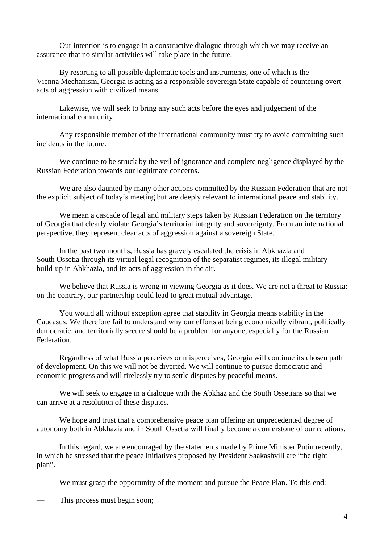Our intention is to engage in a constructive dialogue through which we may receive an assurance that no similar activities will take place in the future.

 By resorting to all possible diplomatic tools and instruments, one of which is the Vienna Mechanism, Georgia is acting as a responsible sovereign State capable of countering overt acts of aggression with civilized means.

 Likewise, we will seek to bring any such acts before the eyes and judgement of the international community.

 Any responsible member of the international community must try to avoid committing such incidents in the future.

We continue to be struck by the veil of ignorance and complete negligence displayed by the Russian Federation towards our legitimate concerns.

We are also daunted by many other actions committed by the Russian Federation that are not the explicit subject of today's meeting but are deeply relevant to international peace and stability.

 We mean a cascade of legal and military steps taken by Russian Federation on the territory of Georgia that clearly violate Georgia's territorial integrity and sovereignty. From an international perspective, they represent clear acts of aggression against a sovereign State.

 In the past two months, Russia has gravely escalated the crisis in Abkhazia and South Ossetia through its virtual legal recognition of the separatist regimes, its illegal military build-up in Abkhazia, and its acts of aggression in the air.

We believe that Russia is wrong in viewing Georgia as it does. We are not a threat to Russia: on the contrary, our partnership could lead to great mutual advantage.

 You would all without exception agree that stability in Georgia means stability in the Caucasus. We therefore fail to understand why our efforts at being economically vibrant, politically democratic, and territorially secure should be a problem for anyone, especially for the Russian Federation.

 Regardless of what Russia perceives or misperceives, Georgia will continue its chosen path of development. On this we will not be diverted. We will continue to pursue democratic and economic progress and will tirelessly try to settle disputes by peaceful means.

 We will seek to engage in a dialogue with the Abkhaz and the South Ossetians so that we can arrive at a resolution of these disputes.

 We hope and trust that a comprehensive peace plan offering an unprecedented degree of autonomy both in Abkhazia and in South Ossetia will finally become a cornerstone of our relations.

 In this regard, we are encouraged by the statements made by Prime Minister Putin recently, in which he stressed that the peace initiatives proposed by President Saakashvili are "the right plan".

We must grasp the opportunity of the moment and pursue the Peace Plan. To this end:

This process must begin soon;